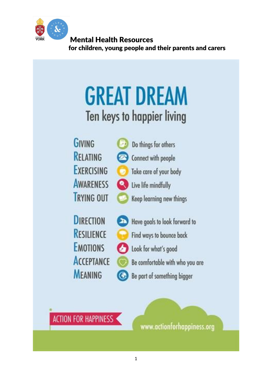

# **GREAT DREAM** Ten keys to happier living

**GIVING RELATING EXERCISING AWARENESS TRYING OUT** 



Keep learning new things

**DIRECTION** RESILIENCE **EMOTIONS ACCEPTANCE MEANING** 

Have goals to look forward to Find ways to bounce back

Look for what's good

Be comfortable with who you are

Be part of something bigger

**ACTION FOR HAPPINESS** 

www.actionforhappiness.org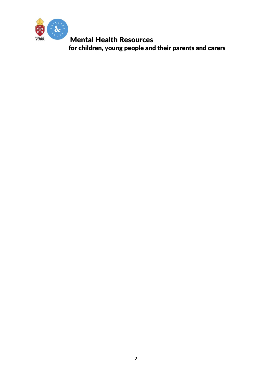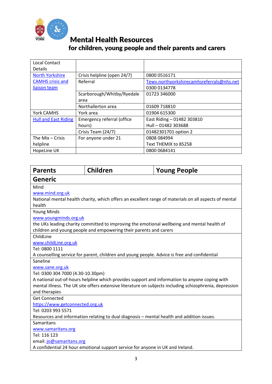

| <b>Local Contact</b>        |                             |                                           |
|-----------------------------|-----------------------------|-------------------------------------------|
| <b>Details</b>              |                             |                                           |
| <b>North Yorkshire</b>      | Crisis helpline (open 24/7) | 0800 0516171                              |
| <b>CAMHS</b> crisis and     | Referral                    | Tewv.northyorkshirecamhsreferrals@nhs.net |
| liaison team                |                             | 0300 0134778                              |
|                             | Scarborough/Whitby/Ryedale  | 01723 346000                              |
|                             | area                        |                                           |
|                             | Northallerton area          | 01609 718810                              |
| York CAMHS                  | York area                   | 01904 615300                              |
| <b>Hull and East Riding</b> | Emergency referral (office  | East Riding - 01482 303810                |
|                             | hours)                      | Hull - 01482 303688                       |
|                             | Crisis Team (24/7)          | 01482301701 option 2                      |
| The Mix $-$ Crisis          | For anyone under 21         | 0808 084994                               |
| helpline                    |                             | Text THEMIX to 85258                      |
| HopeLine UK                 |                             | 0800 0684141                              |

| <b>Parents</b>                                                                                           | <b>Children</b> | <b>Young People</b>                                                                                   |  |
|----------------------------------------------------------------------------------------------------------|-----------------|-------------------------------------------------------------------------------------------------------|--|
| <b>Generic</b>                                                                                           |                 |                                                                                                       |  |
| Mind                                                                                                     |                 |                                                                                                       |  |
| www.mind.org.uk                                                                                          |                 |                                                                                                       |  |
|                                                                                                          |                 | National mental health charity, which offers an excellent range of materials on all aspects of mental |  |
| health                                                                                                   |                 |                                                                                                       |  |
| <b>Young Minds</b>                                                                                       |                 |                                                                                                       |  |
| www.youngminds.org.uk                                                                                    |                 |                                                                                                       |  |
|                                                                                                          |                 | the UKs leading charity committed to improving the emotional wellbeing and mental health of           |  |
| children and young people and empowering their parents and carers                                        |                 |                                                                                                       |  |
| ChildLine                                                                                                |                 |                                                                                                       |  |
| www.childLine.org.uk                                                                                     |                 |                                                                                                       |  |
| Tel: 0800 1111                                                                                           |                 |                                                                                                       |  |
| A counselling service for parent, children and young people. Advice is free and confidential<br>Saneline |                 |                                                                                                       |  |
| www.sane.org.uk                                                                                          |                 |                                                                                                       |  |
| Tel: 0300 304 7000 (4.30-10.30pm)                                                                        |                 |                                                                                                       |  |
|                                                                                                          |                 | A national out-of-hours helpline which provides support and information to anyone coping with         |  |
| mental illness. The UK site offers extensive literature on subjects including schizophrenia, depression  |                 |                                                                                                       |  |
| and therapies                                                                                            |                 |                                                                                                       |  |
| <b>Get Connected</b>                                                                                     |                 |                                                                                                       |  |
| https://www.getconnected.org.uk                                                                          |                 |                                                                                                       |  |
| Tel: 0203 993 5571                                                                                       |                 |                                                                                                       |  |
| Resources and information relating to dual diagnosis - mental health and addition issues.                |                 |                                                                                                       |  |
| Samaritans                                                                                               |                 |                                                                                                       |  |
| www.samaritans.org                                                                                       |                 |                                                                                                       |  |
| Tel: 116 123                                                                                             |                 |                                                                                                       |  |
| email: jo@samaritans.org                                                                                 |                 |                                                                                                       |  |
|                                                                                                          |                 | A confidential 24 hour emotional support service for anyone in UK and Ireland.                        |  |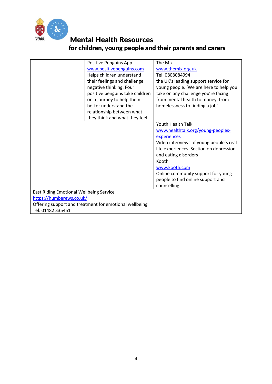

|                                                | Positive Penguins App                                  | The Mix                                 |
|------------------------------------------------|--------------------------------------------------------|-----------------------------------------|
|                                                | www.positivepenguins.com                               | www.themix.org.uk                       |
|                                                |                                                        | Tel: 0808084994                         |
|                                                | Helps children understand                              |                                         |
|                                                | their feelings and challenge                           | the UK's leading support service for    |
|                                                | negative thinking. Four                                | young people. 'We are here to help you  |
|                                                | positive penguins take children                        | take on any challenge you're facing     |
|                                                | on a journey to help them                              | from mental health to money, from       |
|                                                | better understand the                                  | homelessness to finding a job'          |
|                                                | relationship between what                              |                                         |
|                                                | they think and what they feel                          |                                         |
|                                                |                                                        | <b>Youth Health Talk</b>                |
|                                                |                                                        | www.healthtalk.org/young-peoples-       |
|                                                |                                                        | experiences                             |
|                                                |                                                        | Video interviews of young people's real |
|                                                |                                                        | life experiences. Section on depression |
|                                                |                                                        | and eating disorders                    |
|                                                |                                                        | Kooth                                   |
|                                                |                                                        | www.kooth.com                           |
|                                                |                                                        | Online community support for young      |
|                                                |                                                        | people to find online support and       |
|                                                |                                                        | counselling                             |
| <b>East Riding Emotional Wellbeing Service</b> |                                                        |                                         |
| https://humberews.co.uk/                       |                                                        |                                         |
|                                                | Offering support and treatment for emotional wellbeing |                                         |
| Tel: 01482 335451                              |                                                        |                                         |
|                                                |                                                        |                                         |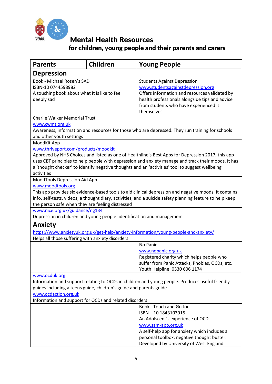

| <b>Parents</b>                                                                                                                                                                                                                                                                                                                                                   | <b>Children</b> | <b>Young People</b>                                                                                                                                                                                                               |  |
|------------------------------------------------------------------------------------------------------------------------------------------------------------------------------------------------------------------------------------------------------------------------------------------------------------------------------------------------------------------|-----------------|-----------------------------------------------------------------------------------------------------------------------------------------------------------------------------------------------------------------------------------|--|
| <b>Depression</b>                                                                                                                                                                                                                                                                                                                                                |                 |                                                                                                                                                                                                                                   |  |
| Book - Michael Rosen's SAD<br>ISBN-10 0744598982<br>A touching book about what it is like to feel<br>deeply sad                                                                                                                                                                                                                                                  |                 | <b>Students Against Depression</b><br>www.studentsagainstdepression.org<br>Offers information and resources validated by<br>health professionals alongside tips and advice<br>from students who have experienced it<br>themselves |  |
| <b>Charlie Walker Memorial Trust</b>                                                                                                                                                                                                                                                                                                                             |                 |                                                                                                                                                                                                                                   |  |
| www.cwmt.org.uk<br>Awareness, information and resources for those who are depressed. They run training for schools<br>and other youth settings                                                                                                                                                                                                                   |                 |                                                                                                                                                                                                                                   |  |
| MoodKit App                                                                                                                                                                                                                                                                                                                                                      |                 |                                                                                                                                                                                                                                   |  |
| www.thriveport.com/products/moodkit<br>Approved by NHS Choices and listed as one of Healthline's Best Apps for Depression 2017, this app<br>uses CBT principles to help people with depression and anxiety manage and track their moods. It has<br>a 'thought checker' to identify negative thoughts and an 'activities' tool to suggest wellbeing<br>activities |                 |                                                                                                                                                                                                                                   |  |
| MoodTools Depression Aid App                                                                                                                                                                                                                                                                                                                                     |                 |                                                                                                                                                                                                                                   |  |
| www.moodtools.org<br>This app provides six evidence-based tools to aid clinical depression and negative moods. It contains<br>info, self-tests, videos, a thought diary, activities, and a suicide safety planning feature to help keep<br>the person safe when they are feeling distressed                                                                      |                 |                                                                                                                                                                                                                                   |  |
| www.nice.org.uk/guidance/ng134                                                                                                                                                                                                                                                                                                                                   |                 |                                                                                                                                                                                                                                   |  |
| Depression in children and young people: identification and management                                                                                                                                                                                                                                                                                           |                 |                                                                                                                                                                                                                                   |  |
| <b>Anxiety</b>                                                                                                                                                                                                                                                                                                                                                   |                 |                                                                                                                                                                                                                                   |  |
|                                                                                                                                                                                                                                                                                                                                                                  |                 | https://www.anxietyuk.org.uk/get-help/anxiety-information/young-people-and-anxiety/                                                                                                                                               |  |
| Helps all those suffering with anxiety disorders                                                                                                                                                                                                                                                                                                                 |                 |                                                                                                                                                                                                                                   |  |
|                                                                                                                                                                                                                                                                                                                                                                  |                 | No Panic<br>www.nopanic.org.uk<br>Registered charity which helps people who<br>suffer from Panic Attacks, Phobias, OCDs, etc.<br>Youth Helpline: 0330 606 1174                                                                    |  |
| www.ocduk.org                                                                                                                                                                                                                                                                                                                                                    |                 |                                                                                                                                                                                                                                   |  |
| Information and support relating to OCDs in children and young people. Produces useful friendly<br>guides including a teens guide, children's guide and parents guide                                                                                                                                                                                            |                 |                                                                                                                                                                                                                                   |  |
| www.ocdaction.org.uk                                                                                                                                                                                                                                                                                                                                             |                 |                                                                                                                                                                                                                                   |  |
| Information and support for OCDs and related disorders                                                                                                                                                                                                                                                                                                           |                 |                                                                                                                                                                                                                                   |  |
|                                                                                                                                                                                                                                                                                                                                                                  |                 | Book - Touch and Go Joe                                                                                                                                                                                                           |  |
|                                                                                                                                                                                                                                                                                                                                                                  |                 | ISBN - 10 1843103915<br>An Adolscent's experience of OCD                                                                                                                                                                          |  |
|                                                                                                                                                                                                                                                                                                                                                                  |                 | www.sam-app.org.uk                                                                                                                                                                                                                |  |
|                                                                                                                                                                                                                                                                                                                                                                  |                 | A self-help app for anxiety which includes a                                                                                                                                                                                      |  |
|                                                                                                                                                                                                                                                                                                                                                                  |                 | personal toolbox, negative thought buster.                                                                                                                                                                                        |  |
|                                                                                                                                                                                                                                                                                                                                                                  |                 | Developed by University of West England                                                                                                                                                                                           |  |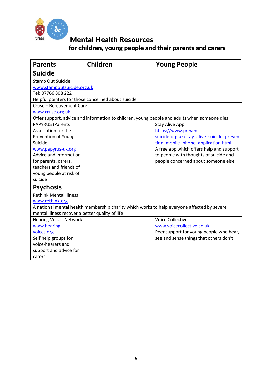

| <b>Parents</b>                                                                              | Children                                           | <b>Young People</b>                                                                          |  |  |
|---------------------------------------------------------------------------------------------|----------------------------------------------------|----------------------------------------------------------------------------------------------|--|--|
| <b>Suicide</b>                                                                              |                                                    |                                                                                              |  |  |
| <b>Stamp Out Suicide</b>                                                                    |                                                    |                                                                                              |  |  |
|                                                                                             | www.stampoutsuicide.org.uk                         |                                                                                              |  |  |
| Tel: 07766 808 222                                                                          |                                                    |                                                                                              |  |  |
|                                                                                             | Helpful pointers for those concerned about suicide |                                                                                              |  |  |
| Cruse - Bereavement Care                                                                    |                                                    |                                                                                              |  |  |
| www.cruse.org.uk                                                                            |                                                    |                                                                                              |  |  |
|                                                                                             |                                                    | Offer support, advice and information to children, young people and adults when someone dies |  |  |
| <b>PAPYRUS (Parents</b>                                                                     |                                                    | <b>Stay Alive App</b>                                                                        |  |  |
| Association for the                                                                         |                                                    | https://www.prevent-                                                                         |  |  |
| Prevention of Young                                                                         |                                                    | suicide.org.uk/stay alive suicide preven                                                     |  |  |
| Suicide                                                                                     |                                                    | tion mobile phone application.html                                                           |  |  |
| www.papyrus-uk.org                                                                          |                                                    | A free app which offers help and support                                                     |  |  |
| Advice and information                                                                      |                                                    | to people with thoughts of suicide and                                                       |  |  |
| for parents, carers,                                                                        |                                                    | people concerned about someone else                                                          |  |  |
| teachers and friends of                                                                     |                                                    |                                                                                              |  |  |
| young people at risk of                                                                     |                                                    |                                                                                              |  |  |
| suicide                                                                                     |                                                    |                                                                                              |  |  |
| <b>Psychosis</b>                                                                            |                                                    |                                                                                              |  |  |
| <b>Rethink Mental Illness</b>                                                               |                                                    |                                                                                              |  |  |
| www.rethink.org                                                                             |                                                    |                                                                                              |  |  |
| A national mental health membership charity which works to help everyone affected by severe |                                                    |                                                                                              |  |  |
| mental illness recover a better quality of life                                             |                                                    |                                                                                              |  |  |
| <b>Hearing Voices Network</b>                                                               |                                                    | <b>Voice Collective</b>                                                                      |  |  |
| www.hearing-                                                                                |                                                    | www.voicecollective.co.uk                                                                    |  |  |
| voices.org                                                                                  |                                                    | Peer support for young people who hear,                                                      |  |  |
| Self help groups for                                                                        |                                                    | see and sense things that others don't                                                       |  |  |
| voice-hearers and                                                                           |                                                    |                                                                                              |  |  |
| support and advice for                                                                      |                                                    |                                                                                              |  |  |
| carers                                                                                      |                                                    |                                                                                              |  |  |